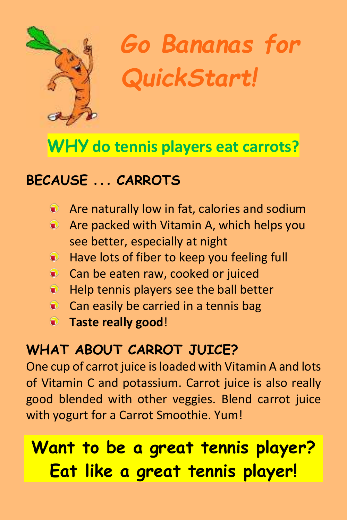

*Go Bananas for QuickStart!*

## **WHY do tennis players eat carrots?**

### **BECAUSE . . . CARROTS**

- **Are naturally low in fat, calories and sodium**
- **Are packed with Vitamin A, which helps you** see better, especially at night
- **Have lots of fiber to keep you feeling full**
- Can be eaten raw, cooked or juiced
- $\blacksquare$  Help tennis players see the ball better
- Can easily be carried in a tennis bage
- **Taste really good**!

### **WHAT ABOUT CARROT JUICE?**

One cup of carrot juice is loaded with Vitamin A and lots of Vitamin C and potassium. Carrot juice is also really good blended with other veggies. Blend carrot juice with yogurt for a Carrot Smoothie. Yum!

# **Want to be a great tennis player? Eat like a great tennis player!**